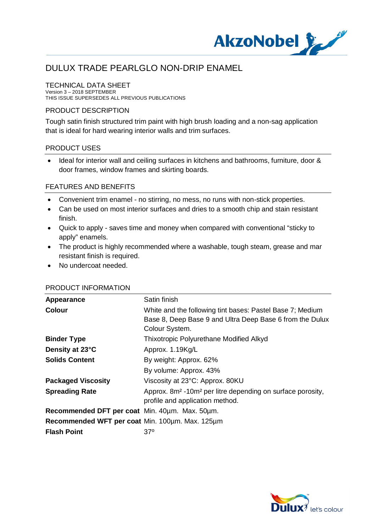

#### TECHNICAL DATA SHEET

Version 3 – 2018 SEPTEMBER THIS ISSUE SUPERSEDES ALL PREVIOUS PUBLICATIONS

## PRODUCT DESCRIPTION

Tough satin finish structured trim paint with high brush loading and a non-sag application that is ideal for hard wearing interior walls and trim surfaces.

### PRODUCT USES

· Ideal for interior wall and ceiling surfaces in kitchens and bathrooms, furniture, door & door frames, window frames and skirting boards.

### FEATURES AND BENEFITS

- · Convenient trim enamel no stirring, no mess, no runs with non-stick properties.
- · Can be used on most interior surfaces and dries to a smooth chip and stain resistant finish.
- · Quick to apply saves time and money when compared with conventional "sticky to apply" enamels.
- · The product is highly recommended where a washable, tough steam, grease and mar resistant finish is required.
- No undercoat needed.

| Appearance                                      | Satin finish                                                                       |
|-------------------------------------------------|------------------------------------------------------------------------------------|
| Colour                                          | White and the following tint bases: Pastel Base 7; Medium                          |
|                                                 | Base 8, Deep Base 9 and Ultra Deep Base 6 from the Dulux                           |
|                                                 | Colour System.                                                                     |
| <b>Binder Type</b>                              | Thixotropic Polyurethane Modified Alkyd                                            |
| Density at 23°C                                 | Approx. 1.19Kg/L                                                                   |
| <b>Solids Content</b>                           | By weight: Approx. 62%                                                             |
|                                                 | By volume: Approx. 43%                                                             |
| <b>Packaged Viscosity</b>                       | Viscosity at 23°C: Approx. 80KU                                                    |
| <b>Spreading Rate</b>                           | Approx. 8m <sup>2</sup> -10m <sup>2</sup> per litre depending on surface porosity, |
|                                                 | profile and application method.                                                    |
| Recommended DFT per coat Min. 40um. Max. 50um.  |                                                                                    |
| Recommended WFT per coat Min. 100um. Max. 125um |                                                                                    |
| <b>Flash Point</b>                              | 37°                                                                                |
|                                                 |                                                                                    |

### PRODUCT INFORMATION

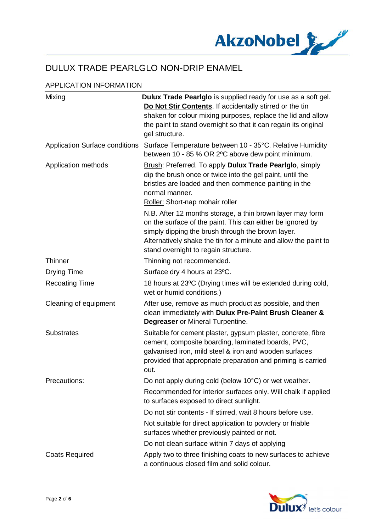

## APPLICATION INFORMATION

| Mixing                                | Dulux Trade Pearlglo is supplied ready for use as a soft gel.                                                                                                                                                                                                                           |
|---------------------------------------|-----------------------------------------------------------------------------------------------------------------------------------------------------------------------------------------------------------------------------------------------------------------------------------------|
|                                       | Do Not Stir Contents. If accidentally stirred or the tin<br>shaken for colour mixing purposes, replace the lid and allow<br>the paint to stand overnight so that it can regain its original<br>gel structure.                                                                           |
| <b>Application Surface conditions</b> | Surface Temperature between 10 - 35°C. Relative Humidity<br>between 10 - 85 % OR 2°C above dew point minimum.                                                                                                                                                                           |
| Application methods                   | Brush: Preferred. To apply Dulux Trade Pearlglo, simply<br>dip the brush once or twice into the gel paint, until the<br>bristles are loaded and then commence painting in the<br>normal manner.<br>Roller: Short-nap mohair roller                                                      |
|                                       | N.B. After 12 months storage, a thin brown layer may form<br>on the surface of the paint. This can either be ignored by<br>simply dipping the brush through the brown layer.<br>Alternatively shake the tin for a minute and allow the paint to<br>stand overnight to regain structure. |
| <b>Thinner</b>                        | Thinning not recommended.                                                                                                                                                                                                                                                               |
| <b>Drying Time</b>                    | Surface dry 4 hours at 23°C.                                                                                                                                                                                                                                                            |
| <b>Recoating Time</b>                 | 18 hours at 23°C (Drying times will be extended during cold,<br>wet or humid conditions.)                                                                                                                                                                                               |
| Cleaning of equipment                 | After use, remove as much product as possible, and then<br>clean immediately with Dulux Pre-Paint Brush Cleaner &<br><b>Degreaser</b> or Mineral Turpentine.                                                                                                                            |
| <b>Substrates</b>                     | Suitable for cement plaster, gypsum plaster, concrete, fibre<br>cement, composite boarding, laminated boards, PVC,<br>galvanised iron, mild steel & iron and wooden surfaces<br>provided that appropriate preparation and priming is carried<br>out.                                    |
| Precautions:                          | Do not apply during cold (below 10°C) or wet weather.                                                                                                                                                                                                                                   |
|                                       | Recommended for interior surfaces only. Will chalk if applied<br>to surfaces exposed to direct sunlight.                                                                                                                                                                                |
|                                       | Do not stir contents - If stirred, wait 8 hours before use.                                                                                                                                                                                                                             |
|                                       | Not suitable for direct application to powdery or friable<br>surfaces whether previously painted or not.                                                                                                                                                                                |
|                                       | Do not clean surface within 7 days of applying                                                                                                                                                                                                                                          |
| <b>Coats Required</b>                 | Apply two to three finishing coats to new surfaces to achieve<br>a continuous closed film and solid colour.                                                                                                                                                                             |

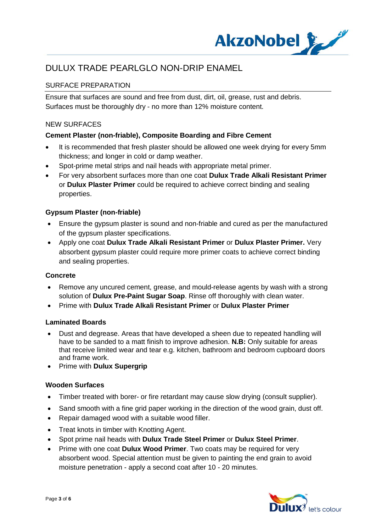

## SURFACE PREPARATION

Ensure that surfaces are sound and free from dust, dirt, oil, grease, rust and debris. Surfaces must be thoroughly dry - no more than 12% moisture content.

### NEW SURFACES

## **Cement Plaster (non-friable), Composite Boarding and Fibre Cement**

- It is recommended that fresh plaster should be allowed one week drying for every 5mm thickness; and longer in cold or damp weather.
- Spot-prime metal strips and nail heads with appropriate metal primer.
- · For very absorbent surfaces more than one coat **Dulux Trade Alkali Resistant Primer** or **Dulux Plaster Primer** could be required to achieve correct binding and sealing properties.

### **Gypsum Plaster (non-friable)**

- · Ensure the gypsum plaster is sound and non-friable and cured as per the manufactured of the gypsum plaster specifications.
- · Apply one coat **Dulux Trade Alkali Resistant Primer** or **Dulux Plaster Primer.** Very absorbent gypsum plaster could require more primer coats to achieve correct binding and sealing properties.

### **Concrete**

- · Remove any uncured cement, grease, and mould-release agents by wash with a strong solution of **Dulux Pre-Paint Sugar Soap**. Rinse off thoroughly with clean water.
- · Prime with **Dulux Trade Alkali Resistant Primer** or **Dulux Plaster Primer**

### **Laminated Boards**

- · Dust and degrease. Areas that have developed a sheen due to repeated handling will have to be sanded to a matt finish to improve adhesion. **N.B:** Only suitable for areas that receive limited wear and tear e.g. kitchen, bathroom and bedroom cupboard doors and frame work.
- · Prime with **Dulux Supergrip**

### **Wooden Surfaces**

- · Timber treated with borer- or fire retardant may cause slow drying (consult supplier).
- Sand smooth with a fine grid paper working in the direction of the wood grain, dust off.
- Repair damaged wood with a suitable wood filler.
- · Treat knots in timber with Knotting Agent.
- · Spot prime nail heads with **Dulux Trade Steel Primer** or **Dulux Steel Primer**.
- · Prime with one coat **Dulux Wood Primer**. Two coats may be required for very absorbent wood. Special attention must be given to painting the end grain to avoid moisture penetration - apply a second coat after 10 - 20 minutes.

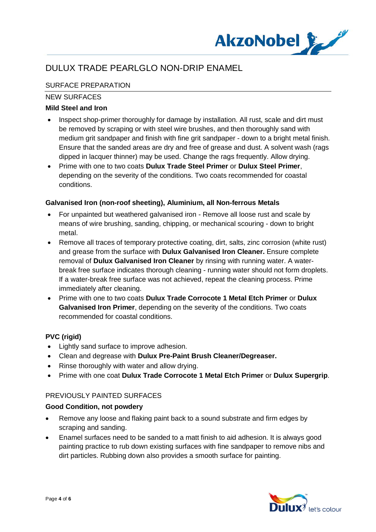

## SURFACE PREPARATION

## NEW SURFACES

## **Mild Steel and Iron**

- Inspect shop-primer thoroughly for damage by installation. All rust, scale and dirt must be removed by scraping or with steel wire brushes, and then thoroughly sand with medium grit sandpaper and finish with fine grit sandpaper - down to a bright metal finish. Ensure that the sanded areas are dry and free of grease and dust. A solvent wash (rags dipped in lacquer thinner) may be used. Change the rags frequently. Allow drying.
- · Prime with one to two coats **Dulux Trade Steel Primer** or **Dulux Steel Primer**, depending on the severity of the conditions. Two coats recommended for coastal conditions.

### **Galvanised Iron (non-roof sheeting), Aluminium, all Non-ferrous Metals**

- · For unpainted but weathered galvanised iron Remove all loose rust and scale by means of wire brushing, sanding, chipping, or mechanical scouring - down to bright metal.
- Remove all traces of temporary protective coating, dirt, salts, zinc corrosion (white rust) and grease from the surface with **Dulux Galvanised Iron Cleaner.** Ensure complete removal of **Dulux Galvanised Iron Cleaner** by rinsing with running water. A waterbreak free surface indicates thorough cleaning - running water should not form droplets. If a water-break free surface was not achieved, repeat the cleaning process. Prime immediately after cleaning.
- · Prime with one to two coats **Dulux Trade Corrocote 1 Metal Etch Primer** or **Dulux Galvanised Iron Primer**, depending on the severity of the conditions. Two coats recommended for coastal conditions.

## **PVC (rigid)**

- · Lightly sand surface to improve adhesion.
- · Clean and degrease with **Dulux Pre-Paint Brush Cleaner/Degreaser.**
- Rinse thoroughly with water and allow drying.
- · Prime with one coat **Dulux Trade Corrocote 1 Metal Etch Primer** or **Dulux Supergrip**.

## PREVIOUSLY PAINTED SURFACES

### **Good Condition, not powdery**

- · Remove any loose and flaking paint back to a sound substrate and firm edges by scraping and sanding.
- · Enamel surfaces need to be sanded to a matt finish to aid adhesion. It is always good painting practice to rub down existing surfaces with fine sandpaper to remove nibs and dirt particles. Rubbing down also provides a smooth surface for painting.

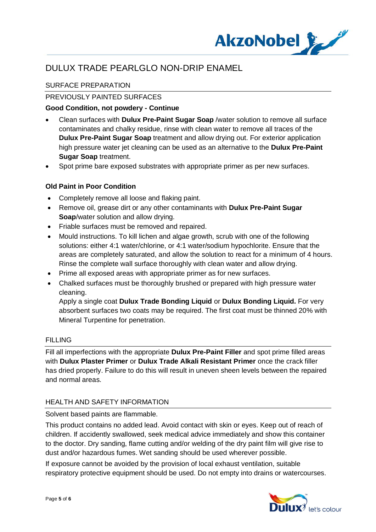

## SURFACE PREPARATION

## PREVIOUSLY PAINTED SURFACES

## **Good Condition, not powdery - Continue**

- · Clean surfaces with **Dulux Pre-Paint Sugar Soap** /water solution to remove all surface contaminates and chalky residue, rinse with clean water to remove all traces of the **Dulux Pre-Paint Sugar Soap** treatment and allow drying out. For exterior application high pressure water jet cleaning can be used as an alternative to the **Dulux Pre-Paint Sugar Soap** treatment.
- · Spot prime bare exposed substrates with appropriate primer as per new surfaces.

## **Old Paint in Poor Condition**

- · Completely remove all loose and flaking paint.
- · Remove oil, grease dirt or any other contaminants with **Dulux Pre-Paint Sugar Soap**/water solution and allow drying.
- · Friable surfaces must be removed and repaired.
- · Mould instructions. To kill lichen and algae growth, scrub with one of the following solutions: either 4:1 water/chlorine, or 4:1 water/sodium hypochlorite. Ensure that the areas are completely saturated, and allow the solution to react for a minimum of 4 hours. Rinse the complete wall surface thoroughly with clean water and allow drying.
- · Prime all exposed areas with appropriate primer as for new surfaces.
- · Chalked surfaces must be thoroughly brushed or prepared with high pressure water cleaning.

Apply a single coat **Dulux Trade Bonding Liquid** or **Dulux Bonding Liquid.** For very absorbent surfaces two coats may be required. The first coat must be thinned 20% with Mineral Turpentine for penetration.

### **FILLING**

Fill all imperfections with the appropriate **Dulux Pre-Paint Filler** and spot prime filled areas with **Dulux Plaster Primer** or **Dulux Trade Alkali Resistant Primer** once the crack filler has dried properly. Failure to do this will result in uneven sheen levels between the repaired and normal areas.

### HEALTH AND SAFETY INFORMATION

Solvent based paints are flammable.

This product contains no added lead. Avoid contact with skin or eyes. Keep out of reach of children. If accidently swallowed, seek medical advice immediately and show this container to the doctor. Dry sanding, flame cutting and/or welding of the dry paint film will give rise to dust and/or hazardous fumes. Wet sanding should be used wherever possible.

If exposure cannot be avoided by the provision of local exhaust ventilation, suitable respiratory protective equipment should be used. Do not empty into drains or watercourses.